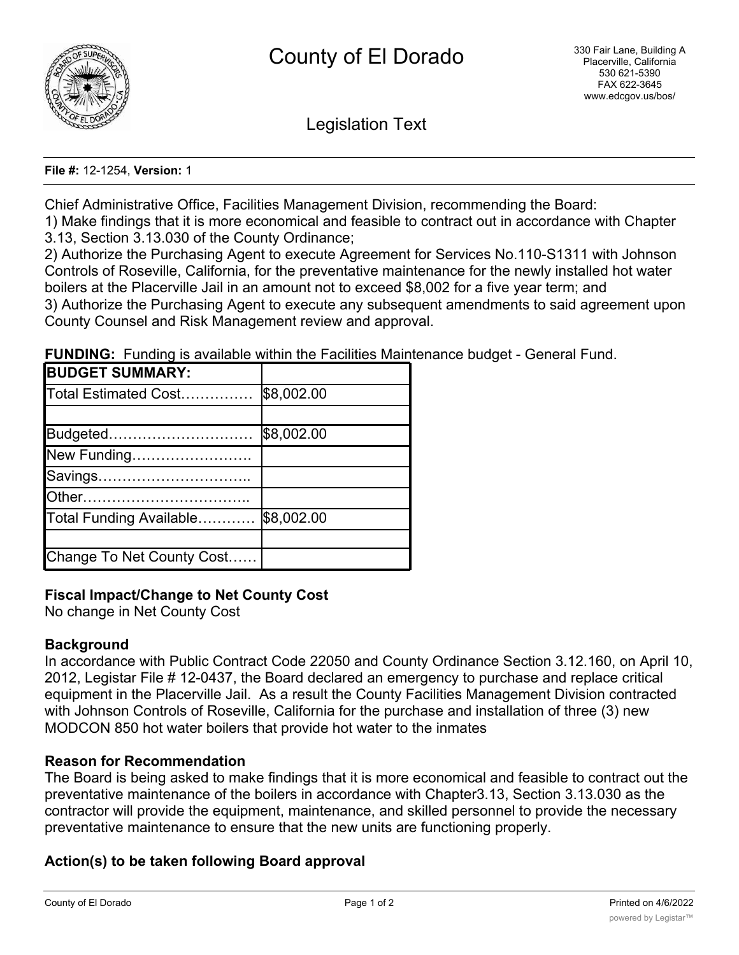

Legislation Text

#### **File #:** 12-1254, **Version:** 1

Chief Administrative Office, Facilities Management Division, recommending the Board:

1) Make findings that it is more economical and feasible to contract out in accordance with Chapter 3.13, Section 3.13.030 of the County Ordinance;

2) Authorize the Purchasing Agent to execute Agreement for Services No.110-S1311 with Johnson Controls of Roseville, California, for the preventative maintenance for the newly installed hot water boilers at the Placerville Jail in an amount not to exceed \$8,002 for a five year term; and 3) Authorize the Purchasing Agent to execute any subsequent amendments to said agreement upon County Counsel and Risk Management review and approval.

**FUNDING:** Funding is available within the Facilities Maintenance budget - General Fund.

| <b>BUDGET SUMMARY:</b>    |            |
|---------------------------|------------|
| Total Estimated Cost      | \$8,002.00 |
|                           |            |
| Budgeted                  | \$8,002.00 |
| New Funding               |            |
| Savings                   |            |
|                           |            |
| Total Funding Available   | \$8,002.00 |
|                           |            |
| Change To Net County Cost |            |

# **Fiscal Impact/Change to Net County Cost**

No change in Net County Cost

### **Background**

In accordance with Public Contract Code 22050 and County Ordinance Section 3.12.160, on April 10, 2012, Legistar File # 12-0437, the Board declared an emergency to purchase and replace critical equipment in the Placerville Jail. As a result the County Facilities Management Division contracted with Johnson Controls of Roseville, California for the purchase and installation of three (3) new MODCON 850 hot water boilers that provide hot water to the inmates

### **Reason for Recommendation**

The Board is being asked to make findings that it is more economical and feasible to contract out the preventative maintenance of the boilers in accordance with Chapter3.13, Section 3.13.030 as the contractor will provide the equipment, maintenance, and skilled personnel to provide the necessary preventative maintenance to ensure that the new units are functioning properly.

# **Action(s) to be taken following Board approval**